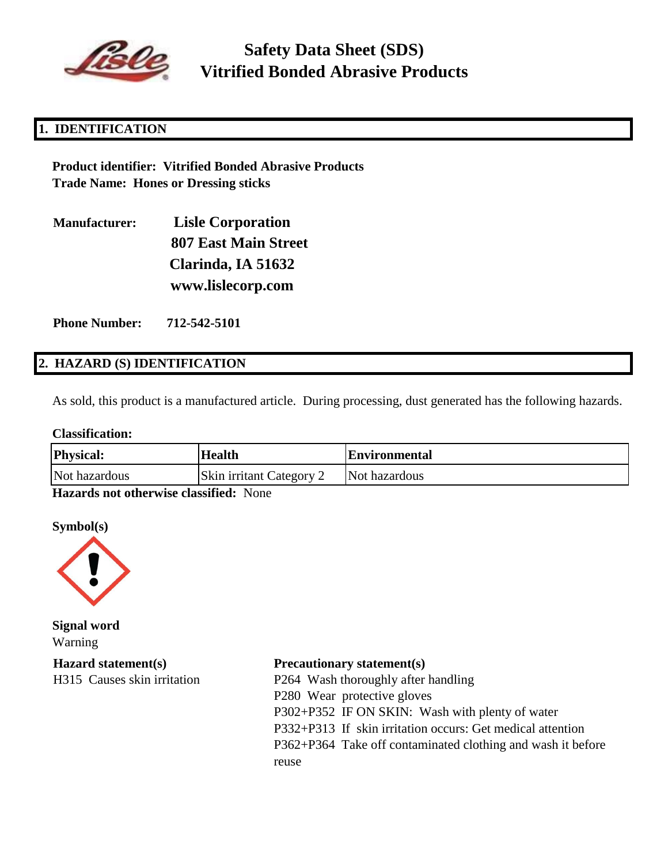

# **Safety Data Sheet (SDS) Vitrified Bonded Abrasive Products**

## **1. IDENTIFICATION**

**Product identifier: Vitrified Bonded Abrasive Products Trade Name: Hones or Dressing sticks**

**Manufacturer: Lisle Corporation 807 East Main Street Clarinda, IA 51632 www.lislecorp.com**

**Phone Number: 712-542-5101**

### **2. HAZARD (S) IDENTIFICATION**

As sold, this product is a manufactured article. During processing, dust generated has the following hazards.

#### **Classification:**

| <b>Physical:</b> | <b>Health</b>                   | <b>Environmental</b> |
|------------------|---------------------------------|----------------------|
| Not hazardous    | <b>Skin irritant Category 2</b> | Not hazardous        |

**Hazards not otherwise classified:** None

**Symbol(s)**



**Signal word** Warning

**Hazard statement(s) Precautionary statement(s)** H315 Causes skin irritation P264 Wash thoroughly after handling P280 Wear protective gloves P302+P352 IF ON SKIN: Wash with plenty of water P332+P313 If skin irritation occurs: Get medical attention P362+P364 Take off contaminated clothing and wash it before reuse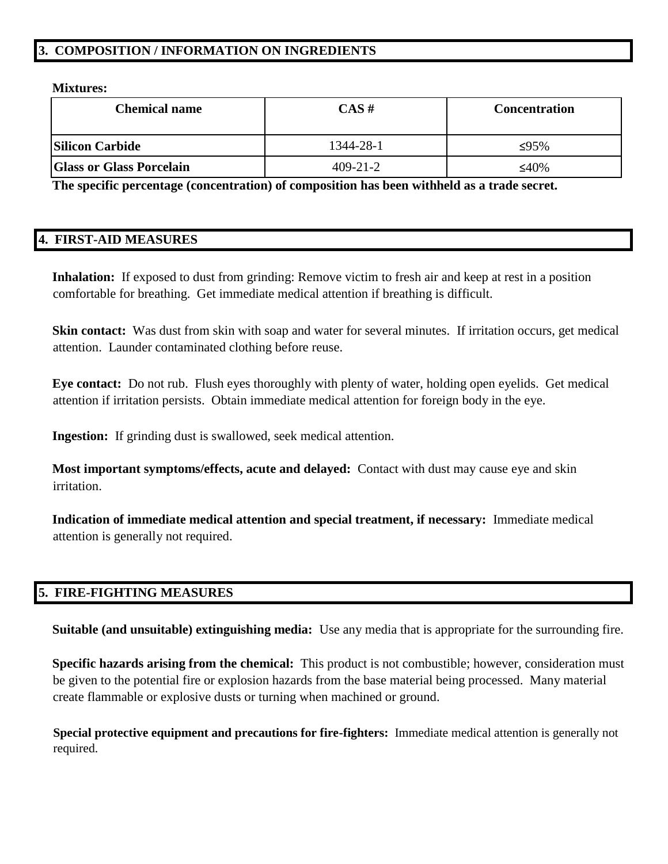## **3. COMPOSITION / INFORMATION ON INGREDIENTS**

**Mixtures:**

| <b>Chemical name</b>            | $CAS \#$       | <b>Concentration</b> |
|---------------------------------|----------------|----------------------|
| <b>Silicon Carbide</b>          | 1344-28-1      | ≤95%                 |
| <b>Glass or Glass Porcelain</b> | $409 - 21 - 2$ | ≤40%                 |

**The specific percentage (concentration) of composition has been withheld as a trade secret.**

### **4. FIRST-AID MEASURES**

**Inhalation:** If exposed to dust from grinding: Remove victim to fresh air and keep at rest in a position comfortable for breathing. Get immediate medical attention if breathing is difficult.

**Skin contact:** Was dust from skin with soap and water for several minutes. If irritation occurs, get medical attention. Launder contaminated clothing before reuse.

**Eye contact:** Do not rub. Flush eyes thoroughly with plenty of water, holding open eyelids. Get medical attention if irritation persists. Obtain immediate medical attention for foreign body in the eye.

**Ingestion:** If grinding dust is swallowed, seek medical attention.

**Most important symptoms/effects, acute and delayed:** Contact with dust may cause eye and skin irritation.

**Indication of immediate medical attention and special treatment, if necessary:** Immediate medical attention is generally not required.

## **5. FIRE-FIGHTING MEASURES**

**Suitable (and unsuitable) extinguishing media:** Use any media that is appropriate for the surrounding fire.

**Specific hazards arising from the chemical:** This product is not combustible; however, consideration must be given to the potential fire or explosion hazards from the base material being processed. Many material create flammable or explosive dusts or turning when machined or ground.

**Special protective equipment and precautions for fire-fighters:** Immediate medical attention is generally not required.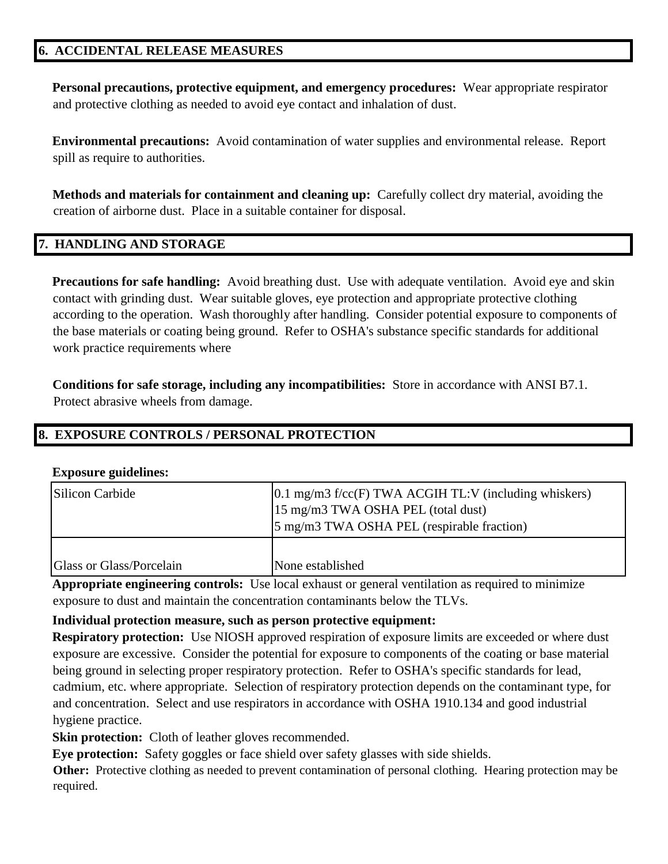### **6. ACCIDENTAL RELEASE MEASURES**

**Personal precautions, protective equipment, and emergency procedures:** Wear appropriate respirator and protective clothing as needed to avoid eye contact and inhalation of dust.

**Environmental precautions:** Avoid contamination of water supplies and environmental release. Report spill as require to authorities.

**Methods and materials for containment and cleaning up:** Carefully collect dry material, avoiding the creation of airborne dust. Place in a suitable container for disposal.

### **7. HANDLING AND STORAGE**

**Precautions for safe handling:** Avoid breathing dust. Use with adequate ventilation. Avoid eye and skin contact with grinding dust. Wear suitable gloves, eye protection and appropriate protective clothing according to the operation. Wash thoroughly after handling. Consider potential exposure to components of the base materials or coating being ground. Refer to OSHA's substance specific standards for additional work practice requirements where

**Conditions for safe storage, including any incompatibilities:** Store in accordance with ANSI B7.1. Protect abrasive wheels from damage.

### **8. EXPOSURE CONTROLS / PERSONAL PROTECTION**

#### **Exposure guidelines:**

| Silicon Carbide          | $[0.1 \text{ mg/m3 f/cc}(F)$ TWA ACGIH TL:V (including whiskers)<br>15 mg/m3 TWA OSHA PEL (total dust)<br>5 mg/m3 TWA OSHA PEL (respirable fraction) |
|--------------------------|------------------------------------------------------------------------------------------------------------------------------------------------------|
| Glass or Glass/Porcelain | None established                                                                                                                                     |

**Appropriate engineering controls:** Use local exhaust or general ventilation as required to minimize exposure to dust and maintain the concentration contaminants below the TLVs.

#### **Individual protection measure, such as person protective equipment:**

**Respiratory protection:** Use NIOSH approved respiration of exposure limits are exceeded or where dust exposure are excessive. Consider the potential for exposure to components of the coating or base material being ground in selecting proper respiratory protection. Refer to OSHA's specific standards for lead, cadmium, etc. where appropriate. Selection of respiratory protection depends on the contaminant type, for and concentration. Select and use respirators in accordance with OSHA 1910.134 and good industrial hygiene practice.

**Skin protection:** Cloth of leather gloves recommended.

**Eye protection:** Safety goggles or face shield over safety glasses with side shields.

**Other:** Protective clothing as needed to prevent contamination of personal clothing. Hearing protection may be required.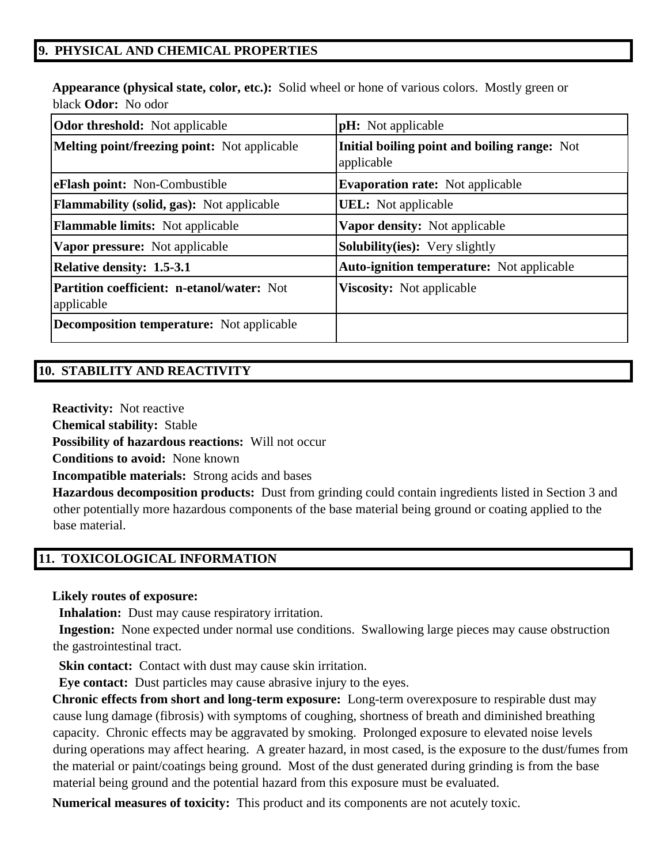## **9. PHYSICAL AND CHEMICAL PROPERTIES**

**Appearance (physical state, color, etc.):** Solid wheel or hone of various colors. Mostly green or black **Odor:** No odor

| <b>Odor threshold:</b> Not applicable                           | <b>pH</b> : Not applicable                                 |  |
|-----------------------------------------------------------------|------------------------------------------------------------|--|
| <b>Melting point/freezing point:</b> Not applicable             | Initial boiling point and boiling range: Not<br>applicable |  |
| eFlash point: Non-Combustible                                   | <b>Evaporation rate:</b> Not applicable                    |  |
| <b>Flammability (solid, gas):</b> Not applicable                | <b>UEL:</b> Not applicable                                 |  |
| <b>Flammable limits:</b> Not applicable                         | <b>Vapor density:</b> Not applicable                       |  |
| <b>Vapor pressure:</b> Not applicable                           | <b>Solubility(ies):</b> Very slightly                      |  |
| <b>Relative density: 1.5-3.1</b>                                | <b>Auto-ignition temperature:</b> Not applicable           |  |
| <b>Partition coefficient: n-etanol/water: Not</b><br>applicable | <b>Viscosity:</b> Not applicable                           |  |
| <b>Decomposition temperature:</b> Not applicable                |                                                            |  |

### **10. STABILITY AND REACTIVITY**

**Reactivity:** Not reactive

**Chemical stability:** Stable

**Possibility of hazardous reactions:** Will not occur

**Conditions to avoid:** None known

**Incompatible materials:** Strong acids and bases

**Hazardous decomposition products:** Dust from grinding could contain ingredients listed in Section 3 and other potentially more hazardous components of the base material being ground or coating applied to the base material.

## **11. TOXICOLOGICAL INFORMATION**

#### **Likely routes of exposure:**

**Inhalation:** Dust may cause respiratory irritation.

 **Ingestion:** None expected under normal use conditions. Swallowing large pieces may cause obstruction the gastrointestinal tract.

**Skin contact:** Contact with dust may cause skin irritation.

 **Eye contact:** Dust particles may cause abrasive injury to the eyes.

**Chronic effects from short and long-term exposure:** Long-term overexposure to respirable dust may cause lung damage (fibrosis) with symptoms of coughing, shortness of breath and diminished breathing capacity. Chronic effects may be aggravated by smoking. Prolonged exposure to elevated noise levels during operations may affect hearing. A greater hazard, in most cased, is the exposure to the dust/fumes from the material or paint/coatings being ground. Most of the dust generated during grinding is from the base material being ground and the potential hazard from this exposure must be evaluated.

**Numerical measures of toxicity:** This product and its components are not acutely toxic.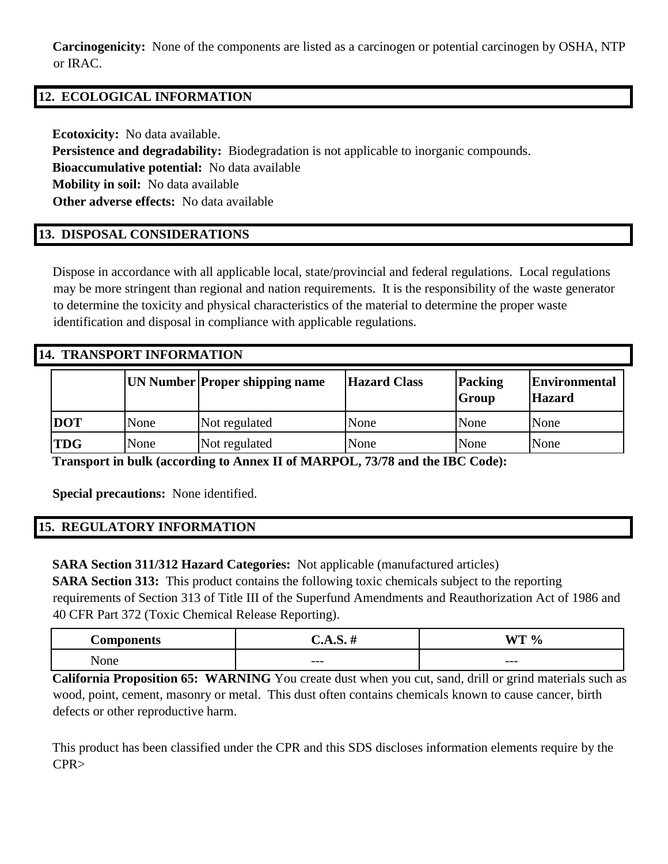**Carcinogenicity:** None of the components are listed as a carcinogen or potential carcinogen by OSHA, NTP or IRAC.

# **12. ECOLOGICAL INFORMATION**

**Ecotoxicity:** No data available.

**Persistence and degradability:** Biodegradation is not applicable to inorganic compounds.

**Bioaccumulative potential:** No data available

**Mobility in soil:** No data available

**Other adverse effects:** No data available

# **13. DISPOSAL CONSIDERATIONS**

Dispose in accordance with all applicable local, state/provincial and federal regulations. Local regulations may be more stringent than regional and nation requirements. It is the responsibility of the waste generator to determine the toxicity and physical characteristics of the material to determine the proper waste identification and disposal in compliance with applicable regulations.

### **14. TRANSPORT INFORMATION**

|            |      | <b>UN Number Proper shipping name</b> | <b>Hazard Class</b> | Packing<br><b>Group</b> | <b>Environmental</b><br><b>Hazard</b> |
|------------|------|---------------------------------------|---------------------|-------------------------|---------------------------------------|
| <b>DOT</b> | None | Not regulated                         | None                | None                    | None                                  |
| <b>TDG</b> | None | Not regulated                         | None                | None                    | None                                  |

**Transport in bulk (according to Annex II of MARPOL, 73/78 and the IBC Code):**

**Special precautions:** None identified.

# **15. REGULATORY INFORMATION**

**SARA Section 311/312 Hazard Categories:** Not applicable (manufactured articles)

**SARA Section 313:** This product contains the following toxic chemicals subject to the reporting requirements of Section 313 of Title III of the Superfund Amendments and Reauthorization Act of 1986 and 40 CFR Part 372 (Toxic Chemical Release Reporting).

| $\alpha$ man $\alpha$ man $\theta$<br><b>ALLO</b> | AA  | -----<br>$\mathbf{0}$<br>′0 |
|---------------------------------------------------|-----|-----------------------------|
| . –<br>one<br>.                                   | --- | $---$                       |

**California Proposition 65: WARNING** You create dust when you cut, sand, drill or grind materials such as wood, point, cement, masonry or metal. This dust often contains chemicals known to cause cancer, birth defects or other reproductive harm.

This product has been classified under the CPR and this SDS discloses information elements require by the CPR>